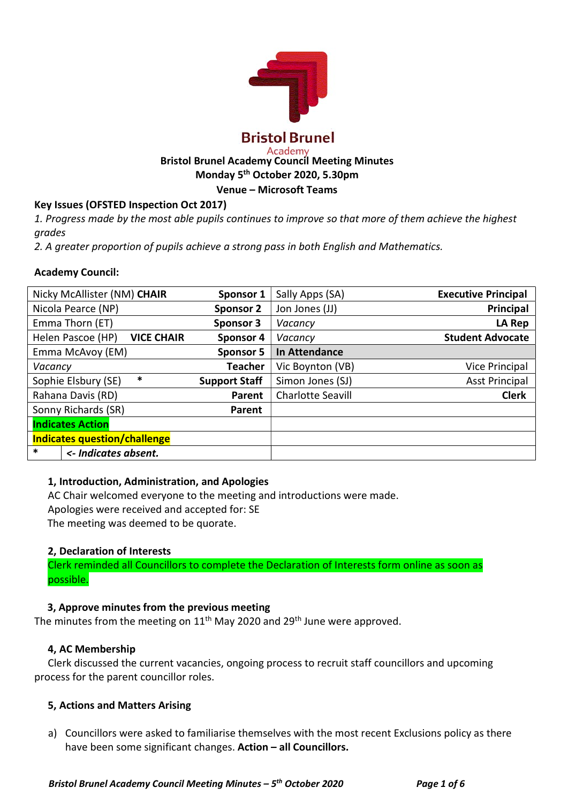

## Bristol Brunel Academy Council Meeting Minutes Monday 5th October 2020, 5.30pm

Venue – Microsoft Teams

# Key Issues (OFSTED Inspection Oct 2017)

1. Progress made by the most able pupils continues to improve so that more of them achieve the highest grades

2. A greater proportion of pupils achieve a strong pass in both English and Mathematics.

## Academy Council:

| Nicky McAllister (NM) CHAIR            | Sponsor 1            | Sally Apps (SA)          | <b>Executive Principal</b> |
|----------------------------------------|----------------------|--------------------------|----------------------------|
| Nicola Pearce (NP)                     | <b>Sponsor 2</b>     | Jon Jones (JJ)           | Principal                  |
| Emma Thorn (ET)                        | Sponsor 3            | Vacancy                  | LA Rep                     |
| <b>VICE CHAIR</b><br>Helen Pascoe (HP) | Sponsor 4            | Vacancy                  | <b>Student Advocate</b>    |
| Emma McAvoy (EM)                       | <b>Sponsor 5</b>     | In Attendance            |                            |
| Vacancy                                | <b>Teacher</b>       | Vic Boynton (VB)         | <b>Vice Principal</b>      |
| *<br>Sophie Elsbury (SE)               | <b>Support Staff</b> | Simon Jones (SJ)         | <b>Asst Principal</b>      |
| Rahana Davis (RD)                      | Parent               | <b>Charlotte Seavill</b> | <b>Clerk</b>               |
| Sonny Richards (SR)                    | Parent               |                          |                            |
| <b>Indicates Action</b>                |                      |                          |                            |
| <b>Indicates question/challenge</b>    |                      |                          |                            |
| *<br><- Indicates absent.              |                      |                          |                            |

#### 1, Introduction, Administration, and Apologies

AC Chair welcomed everyone to the meeting and introductions were made.

Apologies were received and accepted for: SE

The meeting was deemed to be quorate.

## 2, Declaration of Interests

Clerk reminded all Councillors to complete the Declaration of Interests form online as soon as possible.

## 3, Approve minutes from the previous meeting

The minutes from the meeting on  $11<sup>th</sup>$  May 2020 and 29<sup>th</sup> June were approved.

#### 4, AC Membership

Clerk discussed the current vacancies, ongoing process to recruit staff councillors and upcoming process for the parent councillor roles.

#### 5, Actions and Matters Arising

a) Councillors were asked to familiarise themselves with the most recent Exclusions policy as there have been some significant changes. Action - all Councillors.

Bristol Brunel Academy Council Meeting Minutes –  $5<sup>th</sup>$  October 2020 Page 1 of 6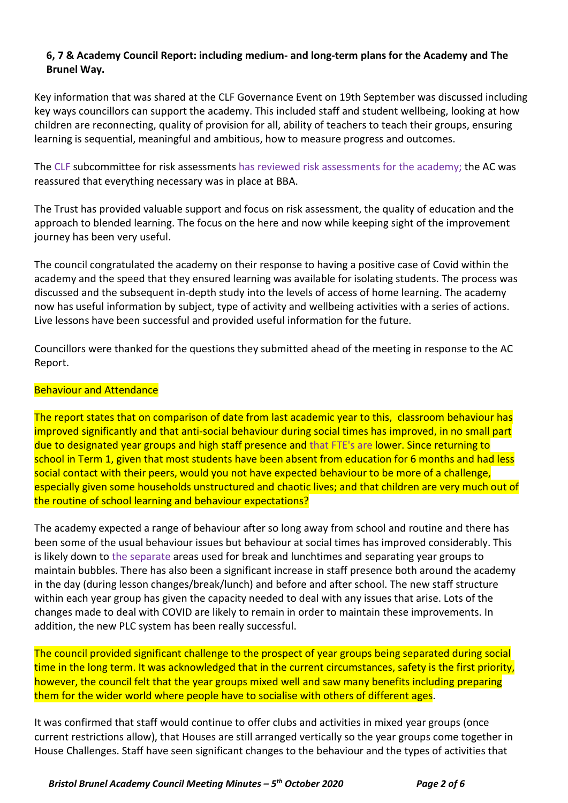# 6, 7 & Academy Council Report: including medium- and long-term plans for the Academy and The Brunel Way.

Key information that was shared at the CLF Governance Event on 19th September was discussed including key ways councillors can support the academy. This included staff and student wellbeing, looking at how children are reconnecting, quality of provision for all, ability of teachers to teach their groups, ensuring learning is sequential, meaningful and ambitious, how to measure progress and outcomes.

The CLF subcommittee for risk assessments has reviewed risk assessments for the academy; the AC was reassured that everything necessary was in place at BBA.

The Trust has provided valuable support and focus on risk assessment, the quality of education and the approach to blended learning. The focus on the here and now while keeping sight of the improvement journey has been very useful.

The council congratulated the academy on their response to having a positive case of Covid within the academy and the speed that they ensured learning was available for isolating students. The process was discussed and the subsequent in-depth study into the levels of access of home learning. The academy now has useful information by subject, type of activity and wellbeing activities with a series of actions. Live lessons have been successful and provided useful information for the future.

Councillors were thanked for the questions they submitted ahead of the meeting in response to the AC Report.

## Behaviour and Attendance

The report states that on comparison of date from last academic year to this, classroom behaviour has improved significantly and that anti-social behaviour during social times has improved, in no small part due to designated year groups and high staff presence and that FTE's are lower. Since returning to school in Term 1, given that most students have been absent from education for 6 months and had less social contact with their peers, would you not have expected behaviour to be more of a challenge, especially given some households unstructured and chaotic lives; and that children are very much out of the routine of school learning and behaviour expectations?

The academy expected a range of behaviour after so long away from school and routine and there has been some of the usual behaviour issues but behaviour at social times has improved considerably. This is likely down to the separate areas used for break and lunchtimes and separating year groups to maintain bubbles. There has also been a significant increase in staff presence both around the academy in the day (during lesson changes/break/lunch) and before and after school. The new staff structure within each year group has given the capacity needed to deal with any issues that arise. Lots of the changes made to deal with COVID are likely to remain in order to maintain these improvements. In addition, the new PLC system has been really successful.

The council provided significant challenge to the prospect of year groups being separated during social time in the long term. It was acknowledged that in the current circumstances, safety is the first priority, however, the council felt that the year groups mixed well and saw many benefits including preparing them for the wider world where people have to socialise with others of different ages.

It was confirmed that staff would continue to offer clubs and activities in mixed year groups (once current restrictions allow), that Houses are still arranged vertically so the year groups come together in House Challenges. Staff have seen significant changes to the behaviour and the types of activities that

Bristol Brunel Academy Council Meeting Minutes –  $5<sup>th</sup>$  October 2020 Page 2 of 6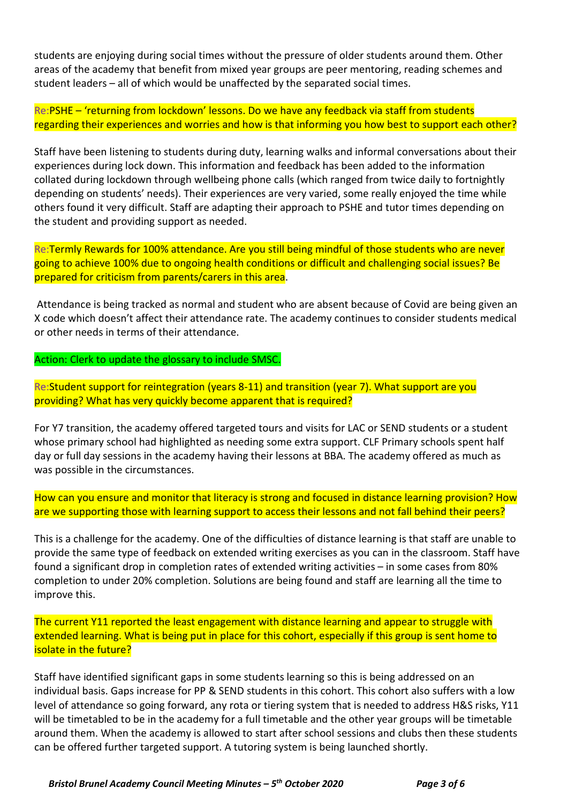students are enjoying during social times without the pressure of older students around them. Other areas of the academy that benefit from mixed year groups are peer mentoring, reading schemes and student leaders – all of which would be unaffected by the separated social times.

Re:PSHE – 'returning from lockdown' lessons. Do we have any feedback via staff from students regarding their experiences and worries and how is that informing you how best to support each other?

Staff have been listening to students during duty, learning walks and informal conversations about their experiences during lock down. This information and feedback has been added to the information collated during lockdown through wellbeing phone calls (which ranged from twice daily to fortnightly depending on students' needs). Their experiences are very varied, some really enjoyed the time while others found it very difficult. Staff are adapting their approach to PSHE and tutor times depending on the student and providing support as needed.

Re:Termly Rewards for 100% attendance. Are you still being mindful of those students who are never going to achieve 100% due to ongoing health conditions or difficult and challenging social issues? Be prepared for criticism from parents/carers in this area.

 Attendance is being tracked as normal and student who are absent because of Covid are being given an X code which doesn't affect their attendance rate. The academy continues to consider students medical or other needs in terms of their attendance.

Action: Clerk to update the glossary to include SMSC.

Re:Student support for reintegration (years 8-11) and transition (year 7). What support are you providing? What has very quickly become apparent that is required?

For Y7 transition, the academy offered targeted tours and visits for LAC or SEND students or a student whose primary school had highlighted as needing some extra support. CLF Primary schools spent half day or full day sessions in the academy having their lessons at BBA. The academy offered as much as was possible in the circumstances.

How can you ensure and monitor that literacy is strong and focused in distance learning provision? How are we supporting those with learning support to access their lessons and not fall behind their peers?

This is a challenge for the academy. One of the difficulties of distance learning is that staff are unable to provide the same type of feedback on extended writing exercises as you can in the classroom. Staff have found a significant drop in completion rates of extended writing activities – in some cases from 80% completion to under 20% completion. Solutions are being found and staff are learning all the time to improve this.

The current Y11 reported the least engagement with distance learning and appear to struggle with extended learning. What is being put in place for this cohort, especially if this group is sent home to isolate in the future?

Staff have identified significant gaps in some students learning so this is being addressed on an individual basis. Gaps increase for PP & SEND students in this cohort. This cohort also suffers with a low level of attendance so going forward, any rota or tiering system that is needed to address H&S risks, Y11 will be timetabled to be in the academy for a full timetable and the other year groups will be timetable around them. When the academy is allowed to start after school sessions and clubs then these students can be offered further targeted support. A tutoring system is being launched shortly.

Bristol Brunel Academy Council Meeting Minutes –  $5<sup>th</sup>$  October 2020 Page 3 of 6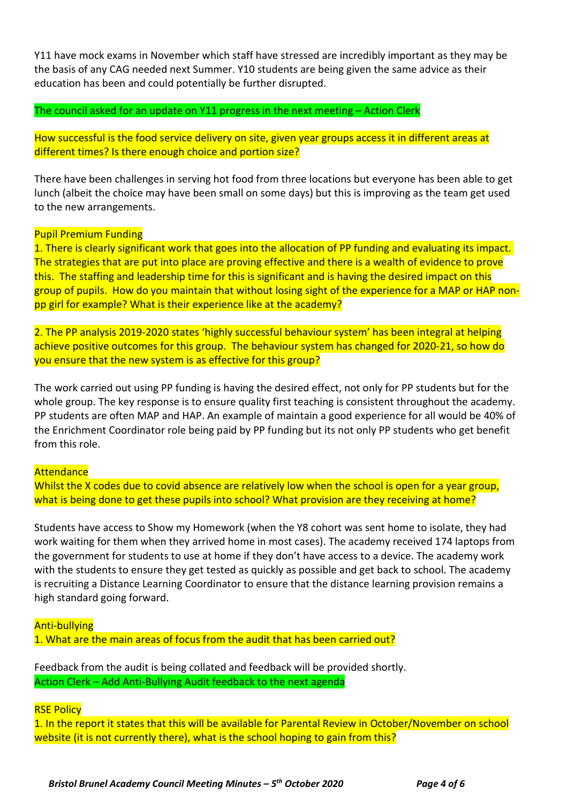Y11 have mock exams in November which staff have stressed are incredibly important as they may be the basis of any CAG needed next Summer. Y10 students are being given the same advice as their education has been and could potentially be further disrupted.

The council asked for an update on Y11 progress in the next meeting – Action Clerk

How successful is the food service delivery on site, given year groups access it in different areas at different times? Is there enough choice and portion size?

There have been challenges in serving hot food from three locations but everyone has been able to get lunch (albeit the choice may have been small on some days) but this is improving as the team get used to the new arrangements.

### Pupil Premium Funding

1. There is clearly significant work that goes into the allocation of PP funding and evaluating its impact. The strategies that are put into place are proving effective and there is a wealth of evidence to prove this. The staffing and leadership time for this is significant and is having the desired impact on this group of pupils. How do you maintain that without losing sight of the experience for a MAP or HAP nonpp girl for example? What is their experience like at the academy?

2. The PP analysis 2019-2020 states 'highly successful behaviour system' has been integral at helping achieve positive outcomes for this group. The behaviour system has changed for 2020-21, so how do you ensure that the new system is as effective for this group?

The work carried out using PP funding is having the desired effect, not only for PP students but for the whole group. The key response is to ensure quality first teaching is consistent throughout the academy. PP students are often MAP and HAP. An example of maintain a good experience for all would be 40% of the Enrichment Coordinator role being paid by PP funding but its not only PP students who get benefit from this role.

#### **Attendance**

Whilst the X codes due to covid absence are relatively low when the school is open for a year group, what is being done to get these pupils into school? What provision are they receiving at home?

Students have access to Show my Homework (when the Y8 cohort was sent home to isolate, they had work waiting for them when they arrived home in most cases). The academy received 174 laptops from the government for students to use at home if they don't have access to a device. The academy work with the students to ensure they get tested as quickly as possible and get back to school. The academy is recruiting a Distance Learning Coordinator to ensure that the distance learning provision remains a high standard going forward.

Anti-bullying

1. What are the main areas of focus from the audit that has been carried out?

Feedback from the audit is being collated and feedback will be provided shortly. Action Clerk – Add Anti-Bullying Audit feedback to the next agenda

RSE Policy

1. In the report it states that this will be available for Parental Review in October/November on school website (it is not currently there), what is the school hoping to gain from this?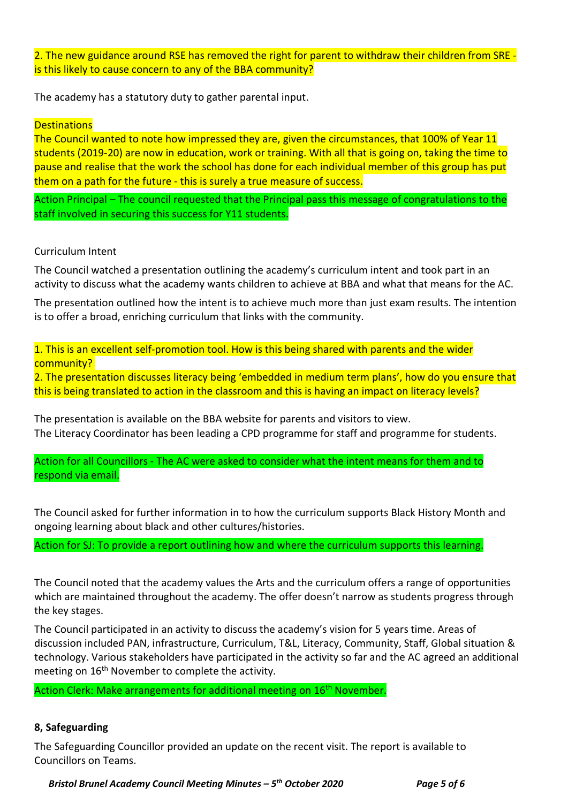2. The new guidance around RSE has removed the right for parent to withdraw their children from SRE is this likely to cause concern to any of the BBA community?

The academy has a statutory duty to gather parental input.

### **Destinations**

The Council wanted to note how impressed they are, given the circumstances, that 100% of Year 11 students (2019-20) are now in education, work or training. With all that is going on, taking the time to pause and realise that the work the school has done for each individual member of this group has put them on a path for the future - this is surely a true measure of success.

Action Principal – The council requested that the Principal pass this message of congratulations to the staff involved in securing this success for Y11 students.

#### Curriculum Intent

The Council watched a presentation outlining the academy's curriculum intent and took part in an activity to discuss what the academy wants children to achieve at BBA and what that means for the AC.

The presentation outlined how the intent is to achieve much more than just exam results. The intention is to offer a broad, enriching curriculum that links with the community.

1. This is an excellent self-promotion tool. How is this being shared with parents and the wider community?

2. The presentation discusses literacy being 'embedded in medium term plans', how do you ensure that this is being translated to action in the classroom and this is having an impact on literacy levels?

The presentation is available on the BBA website for parents and visitors to view. The Literacy Coordinator has been leading a CPD programme for staff and programme for students.

Action for all Councillors - The AC were asked to consider what the intent means for them and to respond via email.

The Council asked for further information in to how the curriculum supports Black History Month and ongoing learning about black and other cultures/histories.

Action for SJ: To provide a report outlining how and where the curriculum supports this learning.

The Council noted that the academy values the Arts and the curriculum offers a range of opportunities which are maintained throughout the academy. The offer doesn't narrow as students progress through the key stages.

The Council participated in an activity to discuss the academy's vision for 5 years time. Areas of discussion included PAN, infrastructure, Curriculum, T&L, Literacy, Community, Staff, Global situation & technology. Various stakeholders have participated in the activity so far and the AC agreed an additional meeting on 16<sup>th</sup> November to complete the activity.

Action Clerk: Make arrangements for additional meeting on 16<sup>th</sup> November.

#### 8, Safeguarding

The Safeguarding Councillor provided an update on the recent visit. The report is available to Councillors on Teams.

Bristol Brunel Academy Council Meeting Minutes –  $5<sup>th</sup>$  October 2020 Page 5 of 6